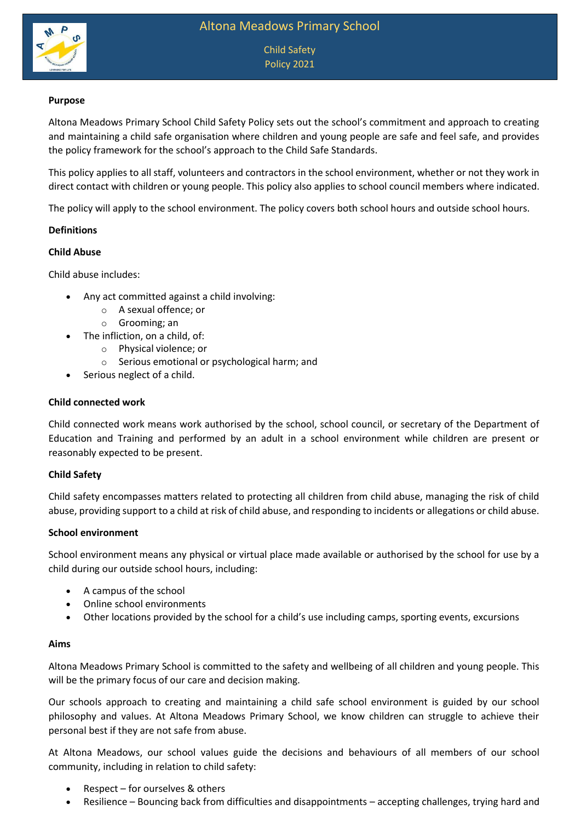

Child Safety Policy 2021

### **Purpose**

Altona Meadows Primary School Child Safety Policy sets out the school's commitment and approach to creating and maintaining a child safe organisation where children and young people are safe and feel safe, and provides the policy framework for the school's approach to the Child Safe Standards.

This policy applies to all staff, volunteers and contractors in the school environment, whether or not they work in direct contact with children or young people. This policy also applies to school council members where indicated.

The policy will apply to the school environment. The policy covers both school hours and outside school hours.

### **Definitions**

#### **Child Abuse**

Child abuse includes:

- Any act committed against a child involving:
	- o A sexual offence; or
	- o Grooming; an
- The infliction, on a child, of:
	- o Physical violence; or
	- o Serious emotional or psychological harm; and
- Serious neglect of a child.

#### **Child connected work**

Child connected work means work authorised by the school, school council, or secretary of the Department of Education and Training and performed by an adult in a school environment while children are present or reasonably expected to be present.

#### **Child Safety**

Child safety encompasses matters related to protecting all children from child abuse, managing the risk of child abuse, providing support to a child at risk of child abuse, and responding to incidents or allegations or child abuse.

### **School environment**

School environment means any physical or virtual place made available or authorised by the school for use by a child during our outside school hours, including:

- A campus of the school
- Online school environments
- Other locations provided by the school for a child's use including camps, sporting events, excursions

#### **Aims**

Altona Meadows Primary School is committed to the safety and wellbeing of all children and young people. This will be the primary focus of our care and decision making.

Our schools approach to creating and maintaining a child safe school environment is guided by our school philosophy and values. At Altona Meadows Primary School, we know children can struggle to achieve their personal best if they are not safe from abuse.

At Altona Meadows, our school values guide the decisions and behaviours of all members of our school community, including in relation to child safety:

- Respect for ourselves & others
- Resilience Bouncing back from difficulties and disappointments accepting challenges, trying hard and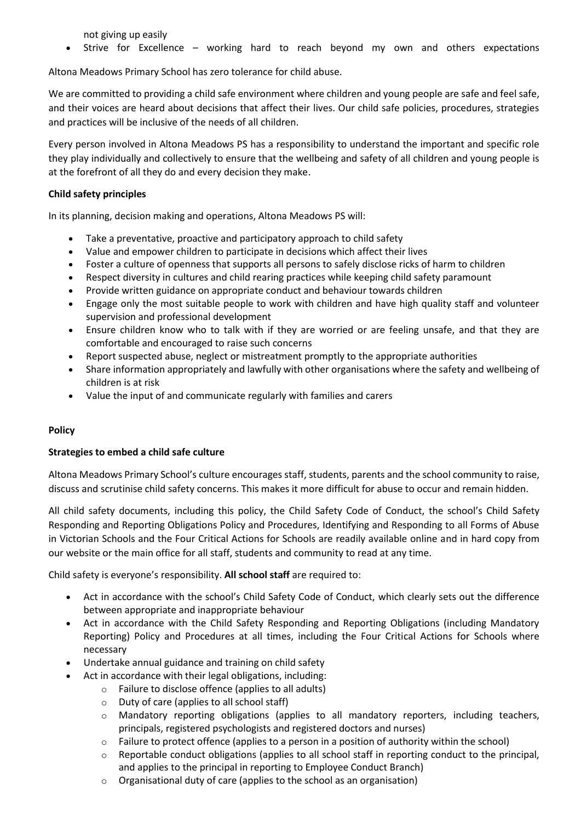not giving up easily

Strive for Excellence – working hard to reach beyond my own and others expectations

Altona Meadows Primary School has zero tolerance for child abuse.

We are committed to providing a child safe environment where children and young people are safe and feel safe, and their voices are heard about decisions that affect their lives. Our child safe policies, procedures, strategies and practices will be inclusive of the needs of all children.

Every person involved in Altona Meadows PS has a responsibility to understand the important and specific role they play individually and collectively to ensure that the wellbeing and safety of all children and young people is at the forefront of all they do and every decision they make.

# **Child safety principles**

In its planning, decision making and operations, Altona Meadows PS will:

- Take a preventative, proactive and participatory approach to child safety
- Value and empower children to participate in decisions which affect their lives
- Foster a culture of openness that supports all persons to safely disclose ricks of harm to children
- Respect diversity in cultures and child rearing practices while keeping child safety paramount
- Provide written guidance on appropriate conduct and behaviour towards children
- Engage only the most suitable people to work with children and have high quality staff and volunteer supervision and professional development
- Ensure children know who to talk with if they are worried or are feeling unsafe, and that they are comfortable and encouraged to raise such concerns
- Report suspected abuse, neglect or mistreatment promptly to the appropriate authorities
- Share information appropriately and lawfully with other organisations where the safety and wellbeing of children is at risk
- Value the input of and communicate regularly with families and carers

# **Policy**

# **Strategies to embed a child safe culture**

Altona Meadows Primary School's culture encourages staff, students, parents and the school community to raise, discuss and scrutinise child safety concerns. This makes it more difficult for abuse to occur and remain hidden.

All child safety documents, including this policy, the Child Safety Code of Conduct, the school's Child Safety Responding and Reporting Obligations Policy and Procedures, Identifying and Responding to all Forms of Abuse in Victorian Schools and the Four Critical Actions for Schools are readily available online and in hard copy from our website or the main office for all staff, students and community to read at any time.

Child safety is everyone's responsibility. **All school staff** are required to:

- Act in accordance with the school's Child Safety Code of Conduct, which clearly sets out the difference between appropriate and inappropriate behaviour
- Act in accordance with the Child Safety Responding and Reporting Obligations (including Mandatory Reporting) Policy and Procedures at all times, including the Four Critical Actions for Schools where necessary
- Undertake annual guidance and training on child safety
	- Act in accordance with their legal obligations, including:
		- o Failure to disclose offence (applies to all adults)
		- o Duty of care (applies to all school staff)
		- o Mandatory reporting obligations (applies to all mandatory reporters, including teachers, principals, registered psychologists and registered doctors and nurses)
		- o Failure to protect offence (applies to a person in a position of authority within the school)
		- $\circ$  Reportable conduct obligations (applies to all school staff in reporting conduct to the principal, and applies to the principal in reporting to Employee Conduct Branch)
		- o Organisational duty of care (applies to the school as an organisation)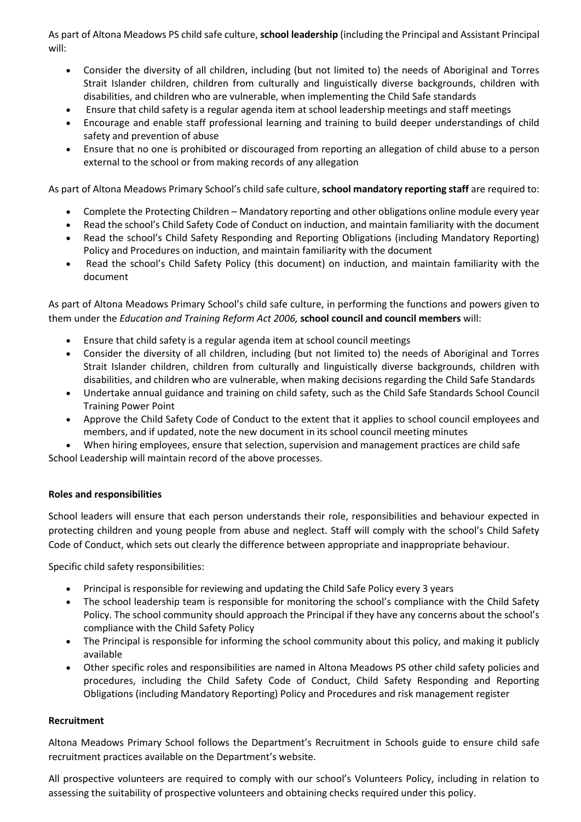As part of Altona Meadows PS child safe culture, **school leadership** (including the Principal and Assistant Principal will:

- Consider the diversity of all children, including (but not limited to) the needs of Aboriginal and Torres Strait Islander children, children from culturally and linguistically diverse backgrounds, children with disabilities, and children who are vulnerable, when implementing the Child Safe standards
- Ensure that child safety is a regular agenda item at school leadership meetings and staff meetings
- Encourage and enable staff professional learning and training to build deeper understandings of child safety and prevention of abuse
- Ensure that no one is prohibited or discouraged from reporting an allegation of child abuse to a person external to the school or from making records of any allegation

As part of Altona Meadows Primary School's child safe culture, **school mandatory reporting staff** are required to:

- Complete the Protecting Children Mandatory reporting and other obligations online module every year
- Read the school's Child Safety Code of Conduct on induction, and maintain familiarity with the document
- Read the school's Child Safety Responding and Reporting Obligations (including Mandatory Reporting) Policy and Procedures on induction, and maintain familiarity with the document
- Read the school's Child Safety Policy (this document) on induction, and maintain familiarity with the document

As part of Altona Meadows Primary School's child safe culture, in performing the functions and powers given to them under the *Education and Training Reform Act 2006,* **school council and council members** will:

- Ensure that child safety is a regular agenda item at school council meetings
- Consider the diversity of all children, including (but not limited to) the needs of Aboriginal and Torres Strait Islander children, children from culturally and linguistically diverse backgrounds, children with disabilities, and children who are vulnerable, when making decisions regarding the Child Safe Standards
- Undertake annual guidance and training on child safety, such as the Child Safe Standards School Council Training Power Point
- Approve the Child Safety Code of Conduct to the extent that it applies to school council employees and members, and if updated, note the new document in its school council meeting minutes

When hiring employees, ensure that selection, supervision and management practices are child safe

School Leadership will maintain record of the above processes.

### **Roles and responsibilities**

School leaders will ensure that each person understands their role, responsibilities and behaviour expected in protecting children and young people from abuse and neglect. Staff will comply with the school's Child Safety Code of Conduct, which sets out clearly the difference between appropriate and inappropriate behaviour.

Specific child safety responsibilities:

- Principal is responsible for reviewing and updating the Child Safe Policy every 3 years
- The school leadership team is responsible for monitoring the school's compliance with the Child Safety Policy. The school community should approach the Principal if they have any concerns about the school's compliance with the Child Safety Policy
- The Principal is responsible for informing the school community about this policy, and making it publicly available
- Other specific roles and responsibilities are named in Altona Meadows PS other child safety policies and procedures, including the Child Safety Code of Conduct, Child Safety Responding and Reporting Obligations (including Mandatory Reporting) Policy and Procedures and risk management register

### **Recruitment**

Altona Meadows Primary School follows the Department's Recruitment in Schools guide to ensure child safe recruitment practices available on the Department's website.

All prospective volunteers are required to comply with our school's Volunteers Policy, including in relation to assessing the suitability of prospective volunteers and obtaining checks required under this policy.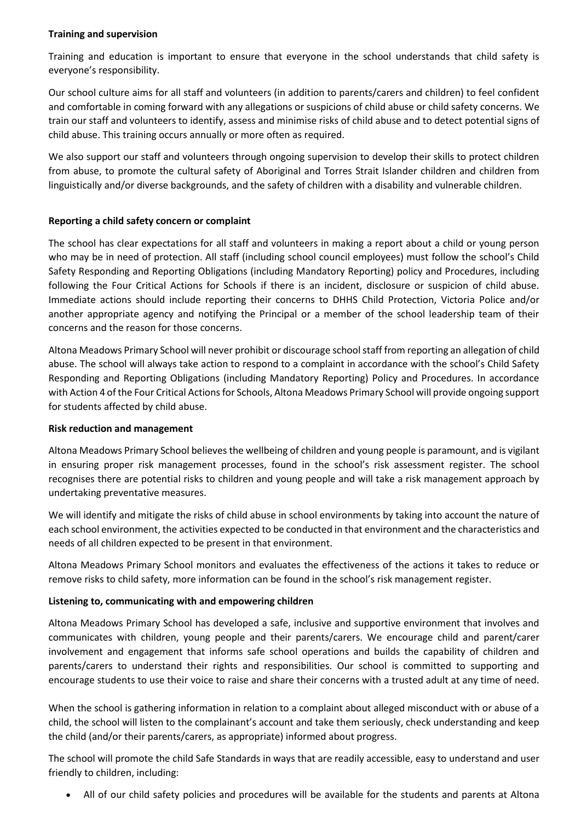### **Training and supervision**

Training and education is important to ensure that everyone in the school understands that child safety is everyone's responsibility.

Our school culture aims for all staff and volunteers (in addition to parents/carers and children) to feel confident and comfortable in coming forward with any allegations or suspicions of child abuse or child safety concerns. We train our staff and volunteers to identify, assess and minimise risks of child abuse and to detect potential signs of child abuse. This training occurs annually or more often as required.

We also support our staff and volunteers through ongoing supervision to develop their skills to protect children from abuse, to promote the cultural safety of Aboriginal and Torres Strait Islander children and children from linguistically and/or diverse backgrounds, and the safety of children with a disability and vulnerable children.

### **Reporting a child safety concern or complaint**

The school has clear expectations for all staff and volunteers in making a report about a child or young person who may be in need of protection. All staff (including school council employees) must follow the school's Child Safety Responding and Reporting Obligations (including Mandatory Reporting) policy and Procedures, including following the Four Critical Actions for Schools if there is an incident, disclosure or suspicion of child abuse. Immediate actions should include reporting their concerns to DHHS Child Protection, Victoria Police and/or another appropriate agency and notifying the Principal or a member of the school leadership team of their concerns and the reason for those concerns.

Altona Meadows Primary School will never prohibit or discourage school staff from reporting an allegation of child abuse. The school will always take action to respond to a complaint in accordance with the school's Child Safety Responding and Reporting Obligations (including Mandatory Reporting) Policy and Procedures. In accordance with Action 4 of the Four Critical Actions for Schools, Altona Meadows Primary School will provide ongoing support for students affected by child abuse.

### **Risk reduction and management**

Altona Meadows Primary School believes the wellbeing of children and young people is paramount, and is vigilant in ensuring proper risk management processes, found in the school's risk assessment register. The school recognises there are potential risks to children and young people and will take a risk management approach by undertaking preventative measures.

We will identify and mitigate the risks of child abuse in school environments by taking into account the nature of each school environment, the activities expected to be conducted in that environment and the characteristics and needs of all children expected to be present in that environment.

Altona Meadows Primary School monitors and evaluates the effectiveness of the actions it takes to reduce or remove risks to child safety, more information can be found in the school's risk management register.

# **Listening to, communicating with and empowering children**

Altona Meadows Primary School has developed a safe, inclusive and supportive environment that involves and communicates with children, young people and their parents/carers. We encourage child and parent/carer involvement and engagement that informs safe school operations and builds the capability of children and parents/carers to understand their rights and responsibilities. Our school is committed to supporting and encourage students to use their voice to raise and share their concerns with a trusted adult at any time of need.

When the school is gathering information in relation to a complaint about alleged misconduct with or abuse of a child, the school will listen to the complainant's account and take them seriously, check understanding and keep the child (and/or their parents/carers, as appropriate) informed about progress.

The school will promote the child Safe Standards in ways that are readily accessible, easy to understand and user friendly to children, including:

All of our child safety policies and procedures will be available for the students and parents at Altona